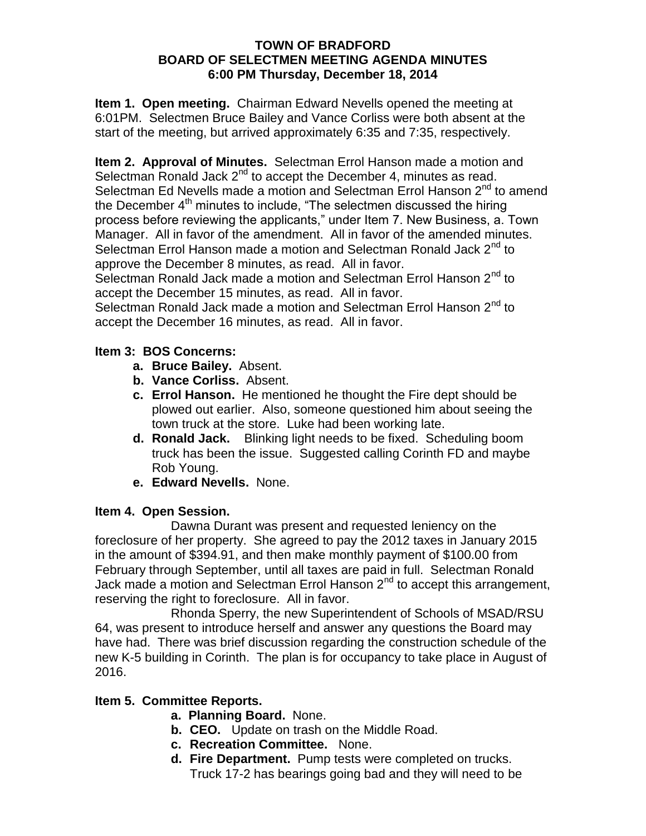#### **TOWN OF BRADFORD BOARD OF SELECTMEN MEETING AGENDA MINUTES 6:00 PM Thursday, December 18, 2014**

**Item 1. Open meeting.** Chairman Edward Nevells opened the meeting at 6:01PM. Selectmen Bruce Bailey and Vance Corliss were both absent at the start of the meeting, but arrived approximately 6:35 and 7:35, respectively.

**Item 2. Approval of Minutes.** Selectman Errol Hanson made a motion and Selectman Ronald Jack  $2^{nd}$  to accept the December 4, minutes as read. Selectman Ed Nevells made a motion and Selectman Errol Hanson 2<sup>nd</sup> to amend the December  $4<sup>th</sup>$  minutes to include, "The selectmen discussed the hiring process before reviewing the applicants," under Item 7. New Business, a. Town Manager. All in favor of the amendment. All in favor of the amended minutes. Selectman Errol Hanson made a motion and Selectman Ronald Jack 2<sup>nd</sup> to approve the December 8 minutes, as read. All in favor.

Selectman Ronald Jack made a motion and Selectman Errol Hanson 2<sup>nd</sup> to accept the December 15 minutes, as read. All in favor.

Selectman Ronald Jack made a motion and Selectman Errol Hanson 2<sup>nd</sup> to accept the December 16 minutes, as read. All in favor.

## **Item 3: BOS Concerns:**

- **a. Bruce Bailey.** Absent.
- **b. Vance Corliss.** Absent.
- **c. Errol Hanson.** He mentioned he thought the Fire dept should be plowed out earlier. Also, someone questioned him about seeing the town truck at the store. Luke had been working late.
- **d. Ronald Jack.** Blinking light needs to be fixed. Scheduling boom truck has been the issue. Suggested calling Corinth FD and maybe Rob Young.
- **e. Edward Nevells.** None.

### **Item 4. Open Session.**

Dawna Durant was present and requested leniency on the foreclosure of her property. She agreed to pay the 2012 taxes in January 2015 in the amount of \$394.91, and then make monthly payment of \$100.00 from February through September, until all taxes are paid in full. Selectman Ronald Jack made a motion and Selectman Errol Hanson  $2^{nd}$  to accept this arrangement, reserving the right to foreclosure. All in favor.

Rhonda Sperry, the new Superintendent of Schools of MSAD/RSU 64, was present to introduce herself and answer any questions the Board may have had. There was brief discussion regarding the construction schedule of the new K-5 building in Corinth. The plan is for occupancy to take place in August of 2016.

# **Item 5. Committee Reports.**

- **a. Planning Board.** None.
- **b. CEO.** Update on trash on the Middle Road.
- **c. Recreation Committee.** None.
- **d. Fire Department.** Pump tests were completed on trucks. Truck 17-2 has bearings going bad and they will need to be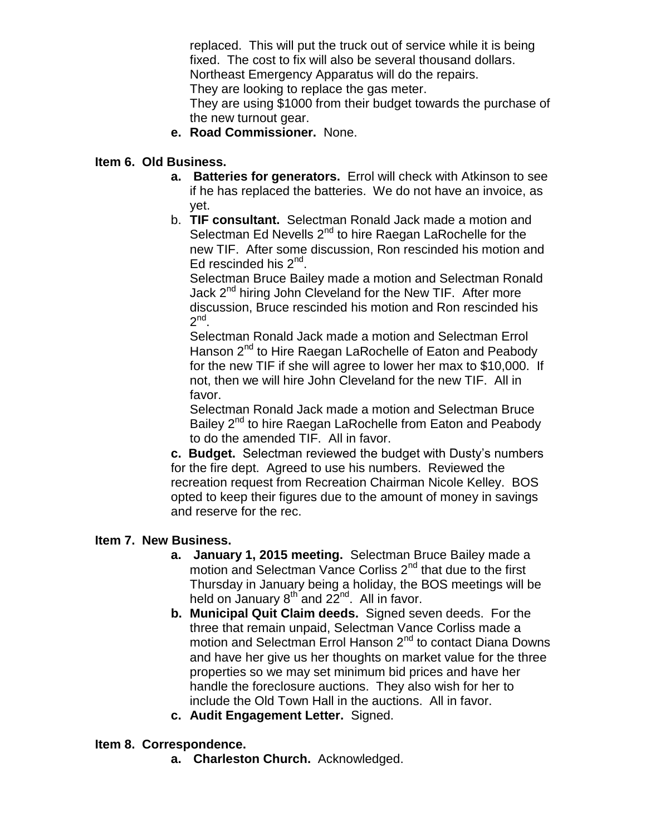replaced. This will put the truck out of service while it is being fixed. The cost to fix will also be several thousand dollars. Northeast Emergency Apparatus will do the repairs. They are looking to replace the gas meter.

They are using \$1000 from their budget towards the purchase of the new turnout gear.

**e. Road Commissioner.** None.

#### **Item 6. Old Business.**

- **a. Batteries for generators.** Errol will check with Atkinson to see if he has replaced the batteries. We do not have an invoice, as yet.
- b. **TIF consultant.** Selectman Ronald Jack made a motion and Selectman Ed Nevells  $2^{nd}$  to hire Raegan LaRochelle for the new TIF. After some discussion, Ron rescinded his motion and Ed rescinded his 2<sup>nd</sup>.

Selectman Bruce Bailey made a motion and Selectman Ronald Jack 2<sup>nd</sup> hiring John Cleveland for the New TIF. After more discussion, Bruce rescinded his motion and Ron rescinded his  $2^{nd}$ .

Selectman Ronald Jack made a motion and Selectman Errol Hanson 2<sup>nd</sup> to Hire Raegan LaRochelle of Eaton and Peabody for the new TIF if she will agree to lower her max to \$10,000. If not, then we will hire John Cleveland for the new TIF. All in favor.

Selectman Ronald Jack made a motion and Selectman Bruce Bailey 2<sup>nd</sup> to hire Raegan LaRochelle from Eaton and Peabody to do the amended TIF. All in favor.

**c. Budget.** Selectman reviewed the budget with Dusty's numbers for the fire dept. Agreed to use his numbers. Reviewed the recreation request from Recreation Chairman Nicole Kelley. BOS opted to keep their figures due to the amount of money in savings and reserve for the rec.

#### **Item 7. New Business.**

- **a. January 1, 2015 meeting.** Selectman Bruce Bailey made a motion and Selectman Vance Corliss 2<sup>nd</sup> that due to the first Thursday in January being a holiday, the BOS meetings will be held on January  $8^{th}$  and  $22^{nd}$ . All in favor.
- **b. Municipal Quit Claim deeds.** Signed seven deeds. For the three that remain unpaid, Selectman Vance Corliss made a motion and Selectman Errol Hanson 2<sup>nd</sup> to contact Diana Downs and have her give us her thoughts on market value for the three properties so we may set minimum bid prices and have her handle the foreclosure auctions. They also wish for her to include the Old Town Hall in the auctions. All in favor.
- **c. Audit Engagement Letter.** Signed.

#### **Item 8. Correspondence.**

**a. Charleston Church.** Acknowledged.